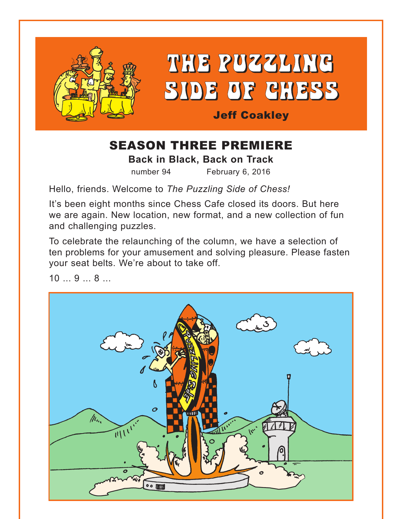

# THE PUZZLING SIDE OF CHESS

## Jeff Coakley

# SEASON THREE PREMIERE

**Back in Black, Back on Track**

number 94 February 6, 2016

Hello, friends. Welcome to *The Puzzling Side of Chess!* 

It's been eight months since Chess Cafe closed its doors. But here we are again. New location, new format, and a new collection of fun and challenging puzzles.

To celebrate the relaunching of the column, we have a selection of ten problems for your amusement and solving pleasure. Please fasten your seat belts. We're about to take off.

10 ... 9 ... 8 ...

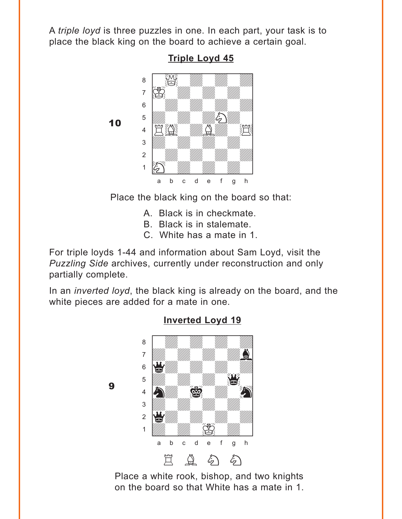<span id="page-1-0"></span>A *triple loyd* is three puzzles in one. In each part, your task is to place the black king on the board to achieve a certain goal.



**[Triple Loyd 45](#page-8-0)**

Place the black king on the board so that:

- A. Black is in checkmate.
- B. Black is in stalemate.
- C. White has a mate in 1.

For triple loyds 1-44 and information about Sam Loyd, visit the *Puzzling Side* archives, currently under reconstruction and only partially complete.

In an *inverted loyd*, the black king is already on the board, and the white pieces are added for a mate in one.



9

**[Inverted Loyd 19](#page-8-0)**

Place a white rook, bishop, and two knights on the board so that White has a mate in 1.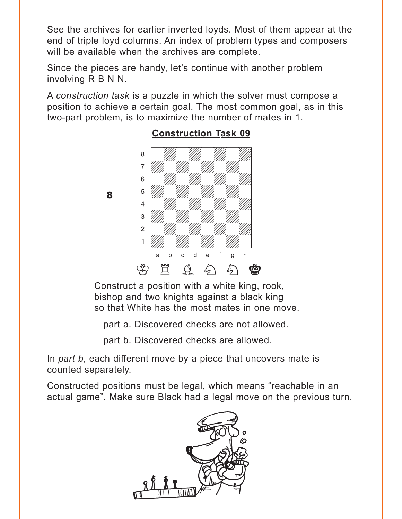<span id="page-2-0"></span>See the archives for earlier inverted loyds. Most of them appear at the end of triple loyd columns. An index of problem types and composers will be available when the archives are complete.

Since the pieces are handy, let's continue with another problem involving R B N N.

A *construction task* is a puzzle in which the solver must compose a position to achieve a certain goal. The most common goal, as in this two-part problem, is to maximize the number of mates in 1.



8

### **[Construction Task 09](#page-9-0)**

Construct a position with a white king, rook, bishop and two knights against a black king so that White has the most mates in one move.

part a. Discovered checks are not allowed.

part b. Discovered checks are allowed.

In *part b*, each different move by a piece that uncovers mate is counted separately.

Constructed positions must be legal, which means "reachable in an actual game". Make sure Black had a legal move on the previous turn.

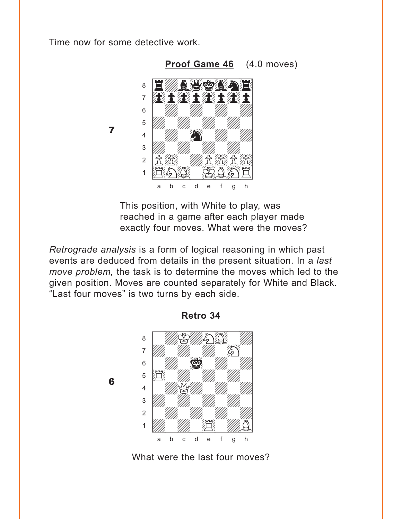<span id="page-3-0"></span>Time now for some detective work.

 $\overline{\mathbf{z}}$ 

6



This position, with White to play, was reached in a game after each player made exactly four moves. What were the moves?

Retrograde analysis is a form of logical reasoning in which past events are deduced from details in the present situation. In a last move problem, the task is to determine the moves which led to the given position. Moves are counted separately for White and Black. "Last four moves" is two turns by each side.



Retro 34

What were the last four moves?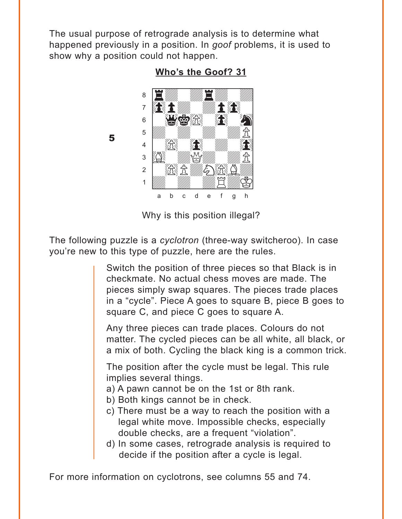<span id="page-4-0"></span>The usual purpose of retrograde analysis is to determine what happened previously in a position. In goof problems, it is used to show why a position could not happen.



5

Who's the Goof? 31

Why is this position illegal?

The following puzzle is a cyclotron (three-way switcheroo). In case you're new to this type of puzzle, here are the rules.

> Switch the position of three pieces so that Black is in checkmate. No actual chess moves are made. The pieces simply swap squares. The pieces trade places in a "cycle". Piece A goes to square B, piece B goes to square C, and piece C goes to square A.

> Any three pieces can trade places. Colours do not matter. The cycled pieces can be all white, all black, or a mix of both. Cycling the black king is a common trick.

The position after the cycle must be legal. This rule implies several things.

- a) A pawn cannot be on the 1st or 8th rank.
- b) Both kings cannot be in check.
- c) There must be a way to reach the position with a legal white move. Impossible checks, especially double checks, are a frequent "violation".
- d) In some cases, retrograde analysis is required to decide if the position after a cycle is legal.

For more information on cyclotrons, see columns 55 and 74.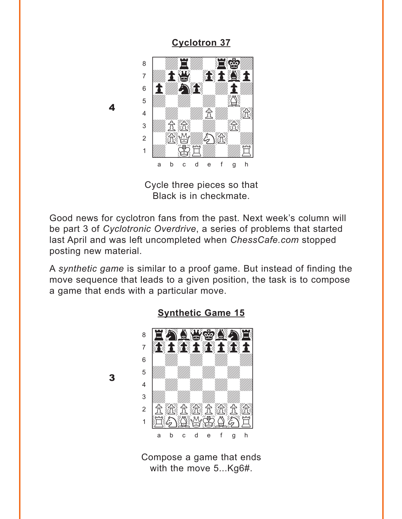### **Cyclotron 37**

<span id="page-5-0"></span>

4

3

Cycle three pieces so that Black is in checkmate.

Good news for cyclotron fans from the past. Next week's column will be part 3 of Cyclotronic Overdrive, a series of problems that started last April and was left uncompleted when ChessCafe.com stopped posting new material.

A synthetic game is similar to a proof game. But instead of finding the move sequence that leads to a given position, the task is to compose a game that ends with a particular move.



#### **Synthetic Game 15**

Compose a game that ends with the move 5...Kg6#.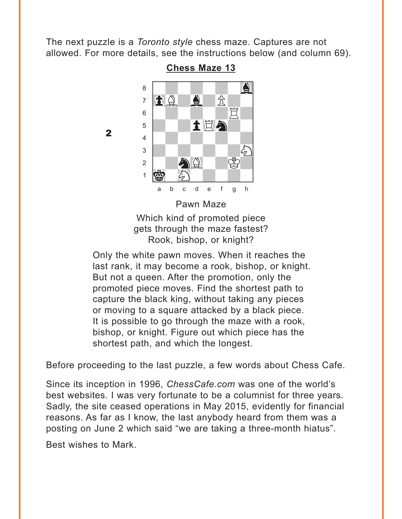<span id="page-6-0"></span>The next puzzle is a *Toronto style* chess maze. Captures are not allowed. For more details, see the instructions below (and column 69).



**[Chess Maze 13](#page-14-0)**

Which kind of promoted piece gets through the maze fastest? Rook, bishop, or knight?

Only the white pawn moves. When it reaches the last rank, it may become a rook, bishop, or knight. But not a queen. After the promotion, only the promoted piece moves. Find the shortest path to capture the black king, without taking any pieces or moving to a square attacked by a black piece. It is possible to go through the maze with a rook, bishop, or knight. Figure out which piece has the shortest path, and which the longest.

Before proceeding to the last puzzle, a few words about Chess Cafe.

Since its inception in 1996, *ChessCafe.com* was one of the world's best websites. I was very fortunate to be a columnist for three years. Sadly, the site ceased operations in May 2015, evidently for financial reasons. As far as I know, the last anybody heard from them was a posting on June 2 which said "we are taking a three-month hiatus".

Best wishes to Mark.

2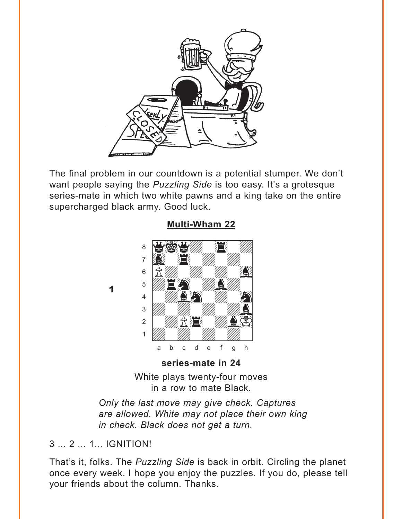<span id="page-7-0"></span>

The final problem in our countdown is a potential stumper. We don't want people saying the *Puzzling Side* is too easy. It's a grotesque series-mate in which two white pawns and a king take on the entire supercharged black army. Good luck.



**[Multi-Wham 22](#page-14-0)**

White plays twenty-four moves in a row to mate Black.

*Only the last move may give check. Captures are allowed. White may not place their own king in check. Black does not get a turn.* 

3 ... 2 ... 1... IGNITION!

1

That's it, folks. The *Puzzling Side* is back in orbit. Circling the planet once every week. I hope you enjoy the puzzles. If you do, please tell your friends about the column. Thanks.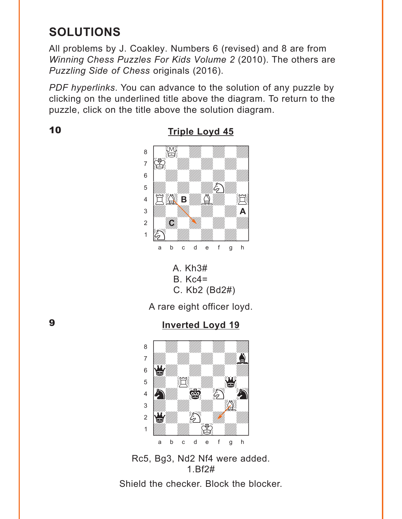# <span id="page-8-0"></span>**SOLUTIONS**

All problems by J. Coakley. Numbers 6 (revised) and 8 are from *Winning Chess Puzzles For Kids Volume 2* (2010). The others are *Puzzling Side of Chess* originals (2016).

*PDF hyperlinks*. You can advance to the solution of any puzzle by clicking on the underlined title above the diagram. To return to the puzzle, click on the title above the solution diagram.

10



**[Triple Loyd 45](#page-1-0)**



A rare eight officer loyd.

9

### **[Inverted Loyd 19](#page-1-0)**



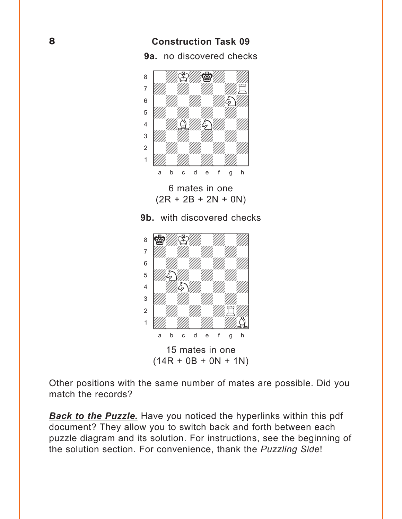### **[Construction Task 09](#page-2-0)**

<span id="page-9-0"></span>**9a.** no discovered checks where  $\frac{1}{2}$  we have the set of  $\frac{1}{2}$ 



6 mates in one  $(2R + 2B + 2N + 0N)$ 





Other positions with the same number of mates are possible. Did you match the records?

**[Back to the Puzzle.](#page-8-0)** Have you noticed the hyperlinks within this pdf document? They allow you to switch back and forth between each puzzle diagram and its solution. For instructions, see the beginning of the solution section. For convenience, thank the *Puzzling Side*!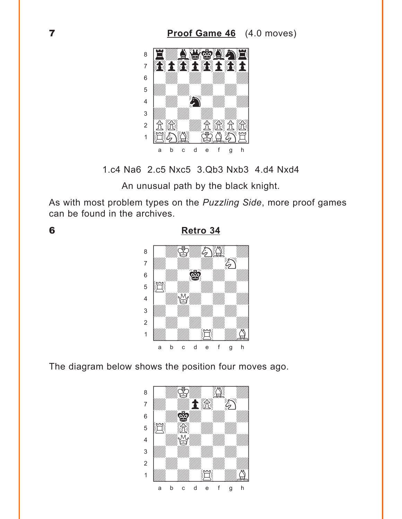<span id="page-10-0"></span>

1.c4 Na6 2.c5 Nxc5 3.Qb3 Nxb3 4.d4 Nxd4

An unusual path by the black knight.

As with most problem types on the Puzzling Side, more proof games can be found in the archives.

6

Retro 34



The diagram below shows the position four moves ago.

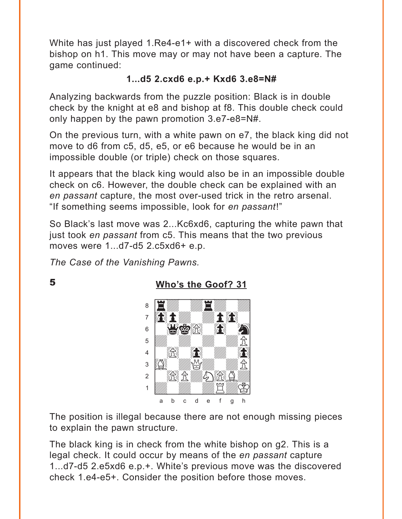<span id="page-11-0"></span>White has just played 1.Re4-e1+ with a discovered check from the bishop on h1. This move may or may not have been a capture. The game continued:

### **1...d5 2.cxd6 e.p.+ Kxd6 3.e8=N#**

Analyzing backwards from the puzzle position: Black is in double check by the knight at e8 and bishop at f8. This double check could only happen by the pawn promotion 3.e7-e8=N#.

On the previous turn, with a white pawn on e7, the black king did not move to d6 from c5, d5, e5, or e6 because he would be in an impossible double (or triple) check on those squares.

It appears that the black king would also be in an impossible double check on c6. However, the double check can be explained with an *en passant* capture, the most over-used trick in the retro arsenal. "If something seems impossible, look for *en passant*!"

So Black's last move was 2...Kc6xd6, capturing the white pawn that just took *en passant* from c5. This means that the two previous moves were 1...d7-d5 2.c5xd6+ e.p.

*The Case of the Vanishing Pawns.*

5

**[Who's the Goof? 31](#page-4-0)**



The position is illegal because there are not enough missing pieces to explain the pawn structure.

The black king is in check from the white bishop on g2. This is a legal check. It could occur by means of the *en passant* capture 1...d7-d5 2.e5xd6 e.p.+. White's previous move was the discovered check 1.e4-e5+. Consider the position before those moves.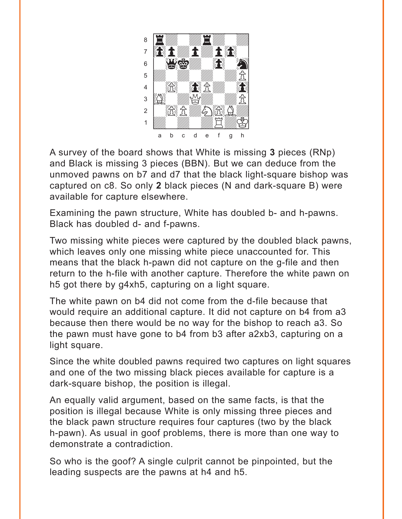

A survey of the board shows that White is missing **3** pieces (RNp) and Black is missing 3 pieces (BBN). But we can deduce from the unmoved pawns on b7 and d7 that the black light-square bishop was captured on c8. So only **2** black pieces (N and dark-square B) were available for capture elsewhere.

Examining the pawn structure, White has doubled b- and h-pawns. Black has doubled d- and f-pawns.

Two missing white pieces were captured by the doubled black pawns, which leaves only one missing white piece unaccounted for. This means that the black h-pawn did not capture on the g-file and then return to the h-file with another capture. Therefore the white pawn on h5 got there by g4xh5, capturing on a light square.

The white pawn on b4 did not come from the d-file because that would require an additional capture. It did not capture on b4 from a3 because then there would be no way for the bishop to reach a3. So the pawn must have gone to b4 from b3 after a2xb3, capturing on a light square.

Since the white doubled pawns required two captures on light squares and one of the two missing black pieces available for capture is a dark-square bishop, the position is illegal.

An equally valid argument, based on the same facts, is that the position is illegal because White is only missing three pieces and the black pawn structure requires four captures (two by the black h-pawn). As usual in goof problems, there is more than one way to demonstrate a contradiction.

So who is the goof? A single culprit cannot be pinpointed, but the leading suspects are the pawns at h4 and h5.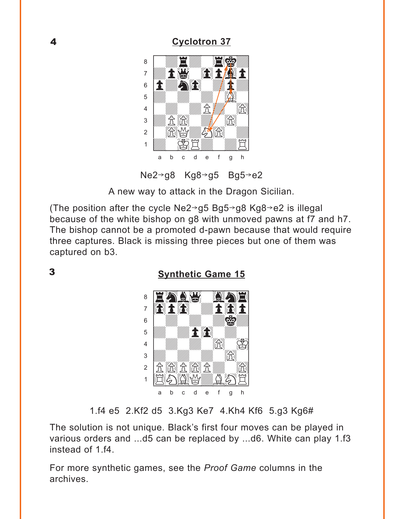### **Cyclotron 37**

<span id="page-13-0"></span>

Ne2→g8 Kg8→g5 Bg5→e2

A new way to attack in the Dragon Sicilian.

(The position after the cycle Ne2 $\rightarrow$ g5 Bg5 $\rightarrow$ g8 Kg8 $\rightarrow$ e2 is illegal because of the white bishop on g8 with unmoved pawns at f7 and h7. The bishop cannot be a promoted d-pawn because that would require three captures. Black is missing three pieces but one of them was captured on b3.

 $\overline{\mathbf{3}}$ 

**Synthetic Game 15** 



1.f4 e5 2.Kf2 d5 3.Kg3 Ke7 4.Kh4 Kf6 5.g3 Kg6#

The solution is not unique. Black's first four moves can be played in various orders and ...d5 can be replaced by ...d6. White can play 1.f3 instead of 1.f4.

For more synthetic games, see the *Proof Game* columns in the archives.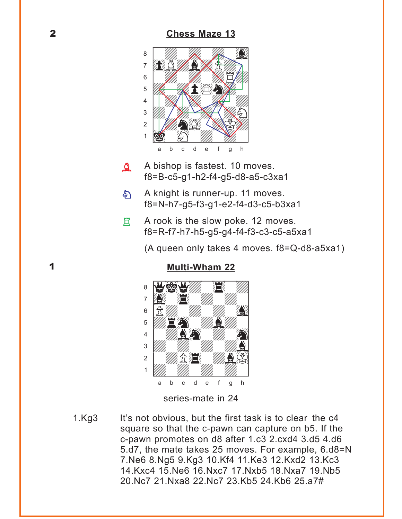#### **[Chess Maze 13](#page-6-0)**

<span id="page-14-0"></span>

- A bishop is fastest. 10 moves. f8=B-c5-g1-h2-f4-g5-d8-a5-c3xa1  $\Delta$
- A knight is runner-up. 11 moves. f8=N-h7-g5-f3-g1-e2-f4-d3-c5-b3xa1  $\mathcal{L}$
- A rook is the slow poke. 12 moves. f8=R-f7-h7-h5-g5-g4-f4-f3-c3-c5-a5xa1 買

(A queen only takes 4 moves. f8=Q-d8-a5xa1)



**[Multi-Wham 22](#page-7-0)**

series-mate in 24

1.Kg3 It's not obvious, but the first task is to clear the c4 square so that the c-pawn can capture on b5. If the c-pawn promotes on d8 after 1.c3 2.cxd4 3.d5 4.d6 5.d7, the mate takes 25 moves. For example, 6.d8=N 7.Ne6 8.Ng5 9.Kg3 10.Kf4 11.Ke3 12.Kxd2 13.Kc3 14.Kxc4 15.Ne6 16.Nxc7 17.Nxb5 18.Nxa7 19.Nb5 20.Nc7 21.Nxa8 22.Nc7 23.Kb5 24.Kb6 25.a7#

1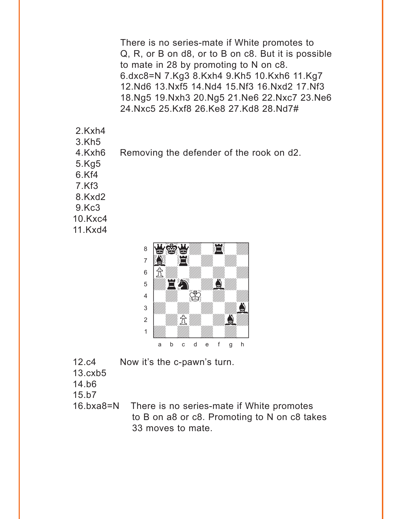There is no series-mate if White promotes to Q, R, or B on d8, or to B on c8. But it is possible to mate in 28 by promoting to N on c8. 6.dxc8=N 7.Kg3 8.Kxh4 9.Kh5 10.Kxh6 11.Kg7 12.Nd6 13.Nxf5 14.Nd4 15.Nf3 16.Nxd2 17.Nf3 18.Ng5 19.Nxh3 20.Ng5 21.Ne6 22.Nxc7 23.Ne6 24.Nxc5 25.Kxf8 26.Ke8 27.Kd8 28.Nd7#

- 2.Kxh4
- 3.Kh5
- 4.Kxh6 Removing the defender of the rook on d2.
- 5.Kg5
- 6.Kf4
- 7.Kf3
- 8.Kxd2
- 9.Kc3
- 10.Kxc4
- 11.Kxd4



- 12.c4 Now it's the c-pawn's turn.
- 13.cxb5
- 14.b6
- 15.b7
- 16.bxa8=N There is no series-mate if White promotes to B on a8 or c8. Promoting to N on c8 takes 33 moves to mate.